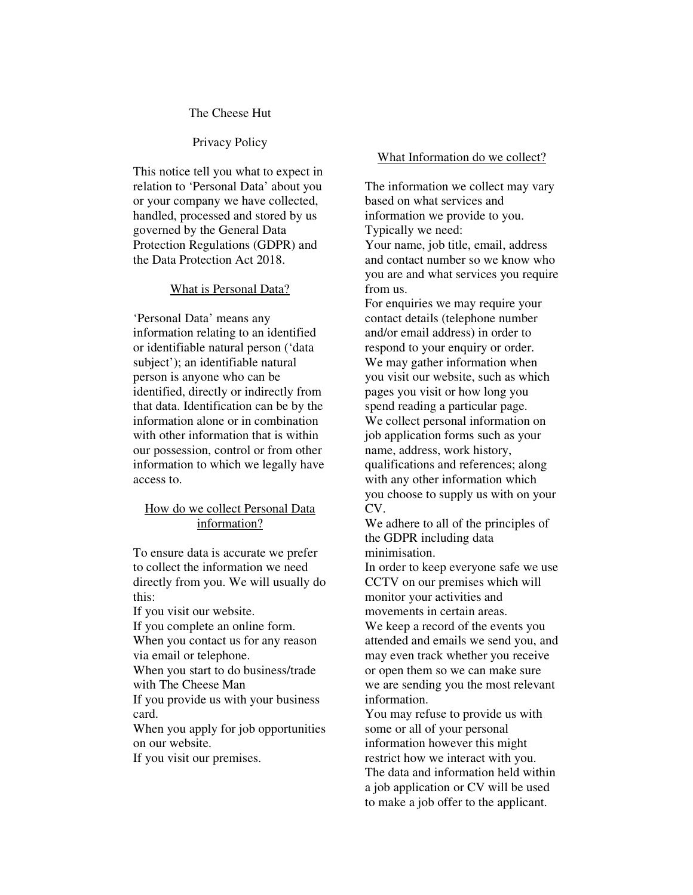#### The Cheese Hut

# Privacy Policy

This notice tell you what to expect in relation to 'Personal Data' about you or your company we have collected, handled, processed and stored by us governed by the General Data Protection Regulations (GDPR) and the Data Protection Act 2018.

#### What is Personal Data?

'Personal Data' means any information relating to an identified or identifiable natural person ('data subject'); an identifiable natural person is anyone who can be identified, directly or indirectly from that data. Identification can be by the information alone or in combination with other information that is within our possession, control or from other information to which we legally have access to.

# How do we collect Personal Data information?

To ensure data is accurate we prefer to collect the information we need directly from you. We will usually do this:

If you visit our website.

If you complete an online form. When you contact us for any reason via email or telephone.

When you start to do business/trade with The Cheese Man

If you provide us with your business card.

When you apply for job opportunities on our website.

If you visit our premises.

#### What Information do we collect?

The information we collect may vary based on what services and information we provide to you. Typically we need: Your name, job title, email, address and contact number so we know who you are and what services you require from us.

For enquiries we may require your contact details (telephone number and/or email address) in order to respond to your enquiry or order. We may gather information when you visit our website, such as which pages you visit or how long you spend reading a particular page. We collect personal information on job application forms such as your name, address, work history, qualifications and references; along with any other information which you choose to supply us with on your CV.

We adhere to all of the principles of the GDPR including data minimisation.

In order to keep everyone safe we use CCTV on our premises which will monitor your activities and movements in certain areas.

We keep a record of the events you attended and emails we send you, and may even track whether you receive or open them so we can make sure we are sending you the most relevant information.

You may refuse to provide us with some or all of your personal information however this might restrict how we interact with you. The data and information held within a job application or CV will be used to make a job offer to the applicant.